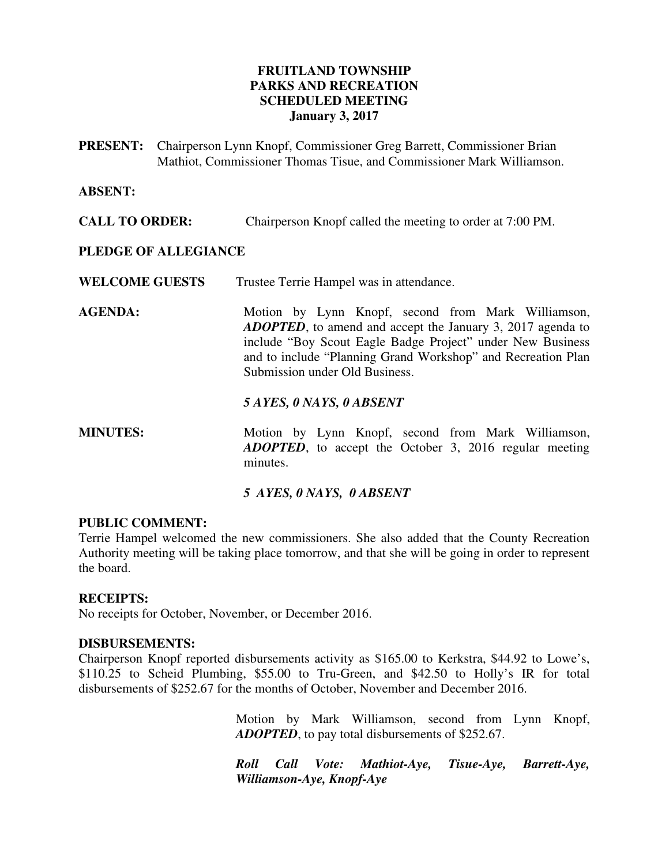## **FRUITLAND TOWNSHIP PARKS AND RECREATION SCHEDULED MEETING January 3, 2017**

**PRESENT:** Chairperson Lynn Knopf, Commissioner Greg Barrett, Commissioner Brian Mathiot, Commissioner Thomas Tisue, and Commissioner Mark Williamson.

#### **ABSENT:**

**CALL TO ORDER:** Chairperson Knopf called the meeting to order at 7:00 PM.

#### **PLEDGE OF ALLEGIANCE**

WELCOME GUESTS Trustee Terrie Hampel was in attendance.

AGENDA: Motion by Lynn Knopf, second from Mark Williamson, *ADOPTED*, to amend and accept the January 3, 2017 agenda to include "Boy Scout Eagle Badge Project" under New Business and to include "Planning Grand Workshop" and Recreation Plan Submission under Old Business.

#### *5 AYES, 0 NAYS, 0 ABSENT*

**MINUTES:** Motion by Lynn Knopf, second from Mark Williamson, *ADOPTED*, to accept the October 3, 2016 regular meeting minutes.

### *5 AYES, 0 NAYS, 0 ABSENT*

#### **PUBLIC COMMENT:**

Terrie Hampel welcomed the new commissioners. She also added that the County Recreation Authority meeting will be taking place tomorrow, and that she will be going in order to represent the board.

### **RECEIPTS:**

No receipts for October, November, or December 2016.

#### **DISBURSEMENTS:**

Chairperson Knopf reported disbursements activity as \$165.00 to Kerkstra, \$44.92 to Lowe's, \$110.25 to Scheid Plumbing, \$55.00 to Tru-Green, and \$42.50 to Holly's IR for total disbursements of \$252.67 for the months of October, November and December 2016.

> Motion by Mark Williamson, second from Lynn Knopf, *ADOPTED*, to pay total disbursements of \$252.67.

> *Roll Call Vote: Mathiot-Aye, Tisue-Aye, Barrett-Aye, Williamson-Aye, Knopf-Aye*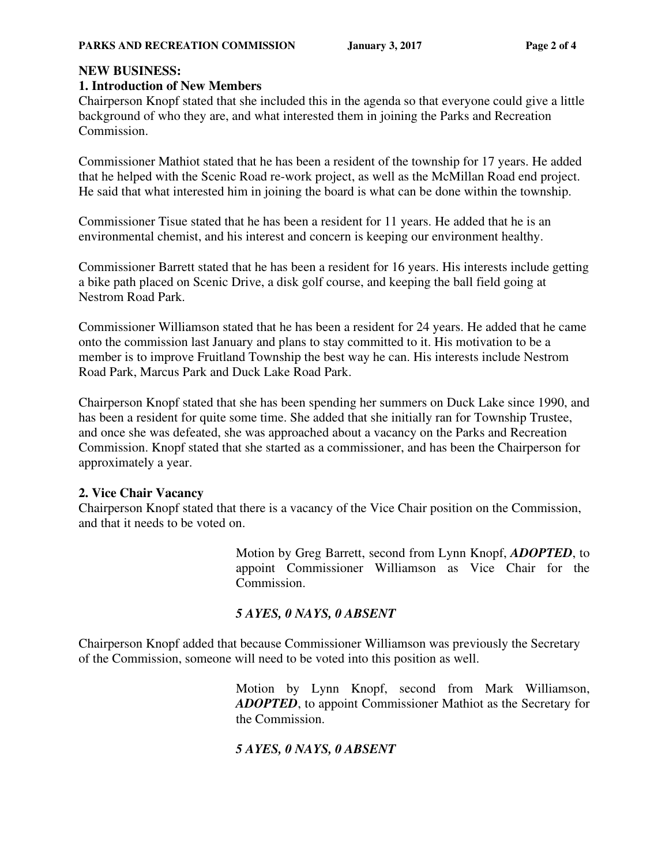# **NEW BUSINESS:**

## **1. Introduction of New Members**

Chairperson Knopf stated that she included this in the agenda so that everyone could give a little background of who they are, and what interested them in joining the Parks and Recreation Commission.

Commissioner Mathiot stated that he has been a resident of the township for 17 years. He added that he helped with the Scenic Road re-work project, as well as the McMillan Road end project. He said that what interested him in joining the board is what can be done within the township.

Commissioner Tisue stated that he has been a resident for 11 years. He added that he is an environmental chemist, and his interest and concern is keeping our environment healthy.

Commissioner Barrett stated that he has been a resident for 16 years. His interests include getting a bike path placed on Scenic Drive, a disk golf course, and keeping the ball field going at Nestrom Road Park.

Commissioner Williamson stated that he has been a resident for 24 years. He added that he came onto the commission last January and plans to stay committed to it. His motivation to be a member is to improve Fruitland Township the best way he can. His interests include Nestrom Road Park, Marcus Park and Duck Lake Road Park.

Chairperson Knopf stated that she has been spending her summers on Duck Lake since 1990, and has been a resident for quite some time. She added that she initially ran for Township Trustee, and once she was defeated, she was approached about a vacancy on the Parks and Recreation Commission. Knopf stated that she started as a commissioner, and has been the Chairperson for approximately a year.

# **2. Vice Chair Vacancy**

Chairperson Knopf stated that there is a vacancy of the Vice Chair position on the Commission, and that it needs to be voted on.

> Motion by Greg Barrett, second from Lynn Knopf, *ADOPTED*, to appoint Commissioner Williamson as Vice Chair for the Commission.

# *5 AYES, 0 NAYS, 0 ABSENT*

Chairperson Knopf added that because Commissioner Williamson was previously the Secretary of the Commission, someone will need to be voted into this position as well.

> Motion by Lynn Knopf, second from Mark Williamson, *ADOPTED*, to appoint Commissioner Mathiot as the Secretary for the Commission.

# *5 AYES, 0 NAYS, 0 ABSENT*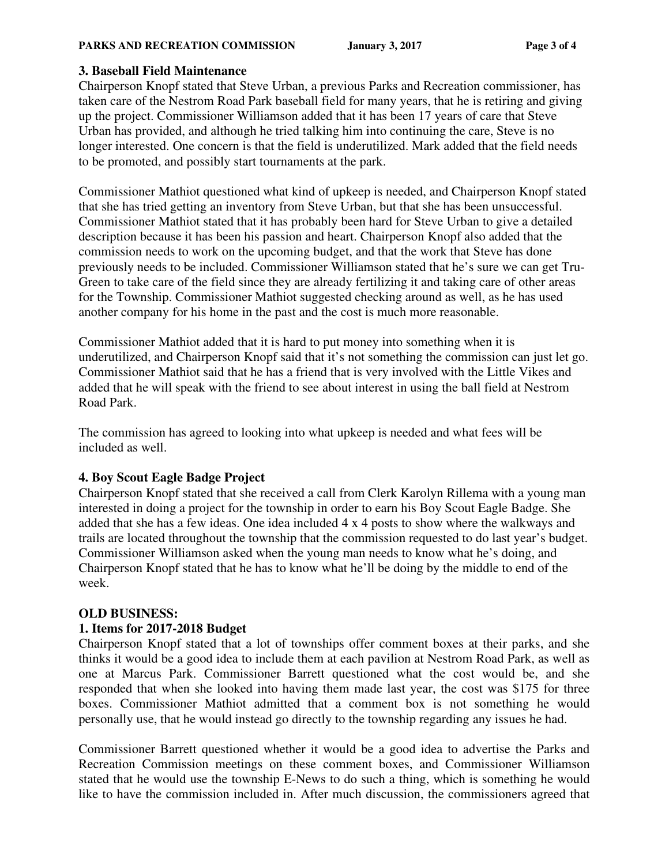#### **PARKS AND RECREATION COMMISSION** January 3, 2017 Page 3 of 4

## **3. Baseball Field Maintenance**

Chairperson Knopf stated that Steve Urban, a previous Parks and Recreation commissioner, has taken care of the Nestrom Road Park baseball field for many years, that he is retiring and giving up the project. Commissioner Williamson added that it has been 17 years of care that Steve Urban has provided, and although he tried talking him into continuing the care, Steve is no longer interested. One concern is that the field is underutilized. Mark added that the field needs to be promoted, and possibly start tournaments at the park.

Commissioner Mathiot questioned what kind of upkeep is needed, and Chairperson Knopf stated that she has tried getting an inventory from Steve Urban, but that she has been unsuccessful. Commissioner Mathiot stated that it has probably been hard for Steve Urban to give a detailed description because it has been his passion and heart. Chairperson Knopf also added that the commission needs to work on the upcoming budget, and that the work that Steve has done previously needs to be included. Commissioner Williamson stated that he's sure we can get Tru-Green to take care of the field since they are already fertilizing it and taking care of other areas for the Township. Commissioner Mathiot suggested checking around as well, as he has used another company for his home in the past and the cost is much more reasonable.

Commissioner Mathiot added that it is hard to put money into something when it is underutilized, and Chairperson Knopf said that it's not something the commission can just let go. Commissioner Mathiot said that he has a friend that is very involved with the Little Vikes and added that he will speak with the friend to see about interest in using the ball field at Nestrom Road Park.

The commission has agreed to looking into what upkeep is needed and what fees will be included as well.

### **4. Boy Scout Eagle Badge Project**

Chairperson Knopf stated that she received a call from Clerk Karolyn Rillema with a young man interested in doing a project for the township in order to earn his Boy Scout Eagle Badge. She added that she has a few ideas. One idea included 4 x 4 posts to show where the walkways and trails are located throughout the township that the commission requested to do last year's budget. Commissioner Williamson asked when the young man needs to know what he's doing, and Chairperson Knopf stated that he has to know what he'll be doing by the middle to end of the week.

# **OLD BUSINESS:**

# **1. Items for 2017-2018 Budget**

Chairperson Knopf stated that a lot of townships offer comment boxes at their parks, and she thinks it would be a good idea to include them at each pavilion at Nestrom Road Park, as well as one at Marcus Park. Commissioner Barrett questioned what the cost would be, and she responded that when she looked into having them made last year, the cost was \$175 for three boxes. Commissioner Mathiot admitted that a comment box is not something he would personally use, that he would instead go directly to the township regarding any issues he had.

Commissioner Barrett questioned whether it would be a good idea to advertise the Parks and Recreation Commission meetings on these comment boxes, and Commissioner Williamson stated that he would use the township E-News to do such a thing, which is something he would like to have the commission included in. After much discussion, the commissioners agreed that